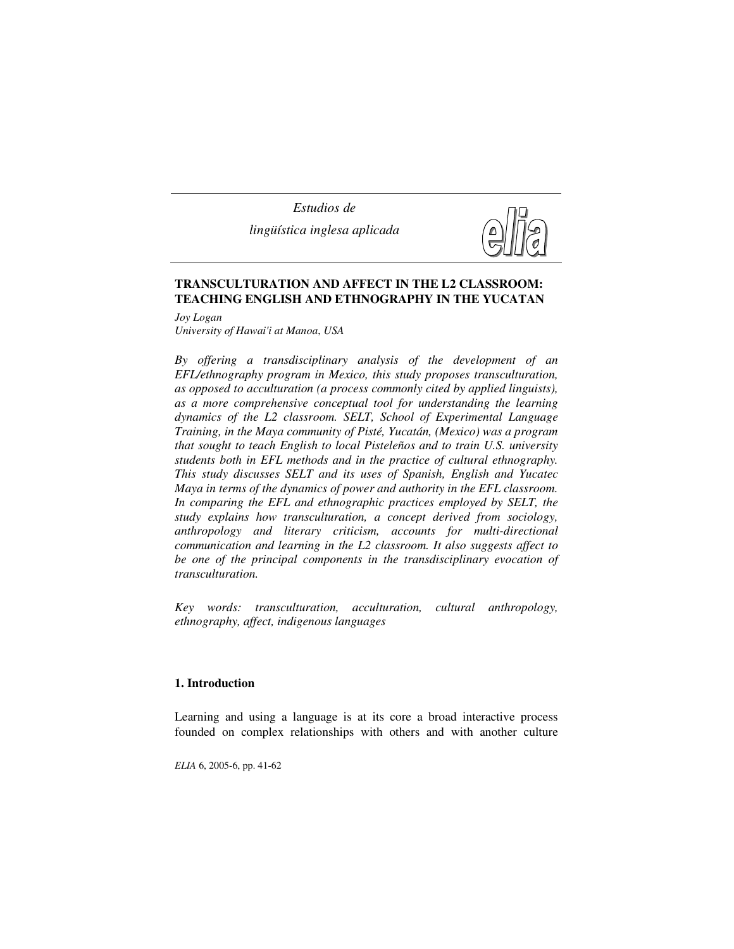*Estudios de lingüística inglesa aplicada*



# **TRANSCULTURATION AND AFFECT IN THE L2 CLASSROOM: TEACHING ENGLISH AND ETHNOGRAPHY IN THE YUCATAN**

*Joy Logan University of Hawai'i at Manoa*, *USA*

*By offering a transdisciplinary analysis of the development of an EFL/ethnography program in Mexico, this study proposes transculturation, as opposed to acculturation (a process commonly cited by applied linguists), as a more comprehensive conceptual tool for understanding the learning dynamics of the L2 classroom. SELT, School of Experimental Language Training, in the Maya community of Pisté, Yucatán, (Mexico) was a program that sought to teach English to local Pisteleños and to train U.S. university students both in EFL methods and in the practice of cultural ethnography. This study discusses SELT and its uses of Spanish, English and Yucatec Maya in terms of the dynamics of power and authority in the EFL classroom. In comparing the EFL and ethnographic practices employed by SELT, the study explains how transculturation, a concept derived from sociology, anthropology and literary criticism, accounts for multi-directional communication and learning in the L2 classroom. It also suggests affect to be one of the principal components in the transdisciplinary evocation of transculturation.* 

*Key words: transculturation, acculturation, cultural anthropology, ethnography, affect, indigenous languages* 

## **1. Introduction**

Learning and using a language is at its core a broad interactive process founded on complex relationships with others and with another culture

*ELIA* 6, 2005-6, pp. 41-62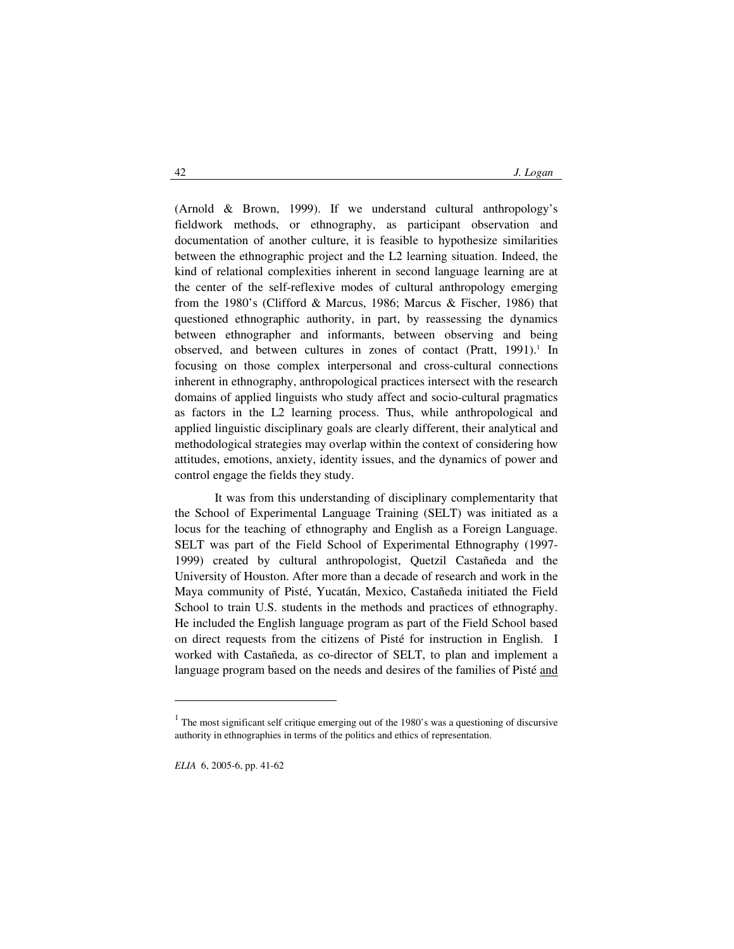(Arnold & Brown, 1999). If we understand cultural anthropology's fieldwork methods, or ethnography, as participant observation and documentation of another culture, it is feasible to hypothesize similarities between the ethnographic project and the L2 learning situation. Indeed, the kind of relational complexities inherent in second language learning are at the center of the self-reflexive modes of cultural anthropology emerging from the 1980's (Clifford & Marcus, 1986; Marcus & Fischer, 1986) that questioned ethnographic authority, in part, by reassessing the dynamics between ethnographer and informants, between observing and being observed, and between cultures in zones of contact (Pratt, 1991).<sup>1</sup> In focusing on those complex interpersonal and cross-cultural connections inherent in ethnography, anthropological practices intersect with the research domains of applied linguists who study affect and socio-cultural pragmatics as factors in the L2 learning process. Thus, while anthropological and applied linguistic disciplinary goals are clearly different, their analytical and methodological strategies may overlap within the context of considering how attitudes, emotions, anxiety, identity issues, and the dynamics of power and control engage the fields they study.

It was from this understanding of disciplinary complementarity that the School of Experimental Language Training (SELT) was initiated as a locus for the teaching of ethnography and English as a Foreign Language. SELT was part of the Field School of Experimental Ethnography (1997- 1999) created by cultural anthropologist, Quetzil Castañeda and the University of Houston. After more than a decade of research and work in the Maya community of Pisté, Yucatán, Mexico, Castañeda initiated the Field School to train U.S. students in the methods and practices of ethnography. He included the English language program as part of the Field School based on direct requests from the citizens of Pisté for instruction in English. I worked with Castañeda, as co-director of SELT, to plan and implement a language program based on the needs and desires of the families of Pisté and

 $<sup>1</sup>$  The most significant self critique emerging out of the 1980's was a questioning of discursive</sup> authority in ethnographies in terms of the politics and ethics of representation.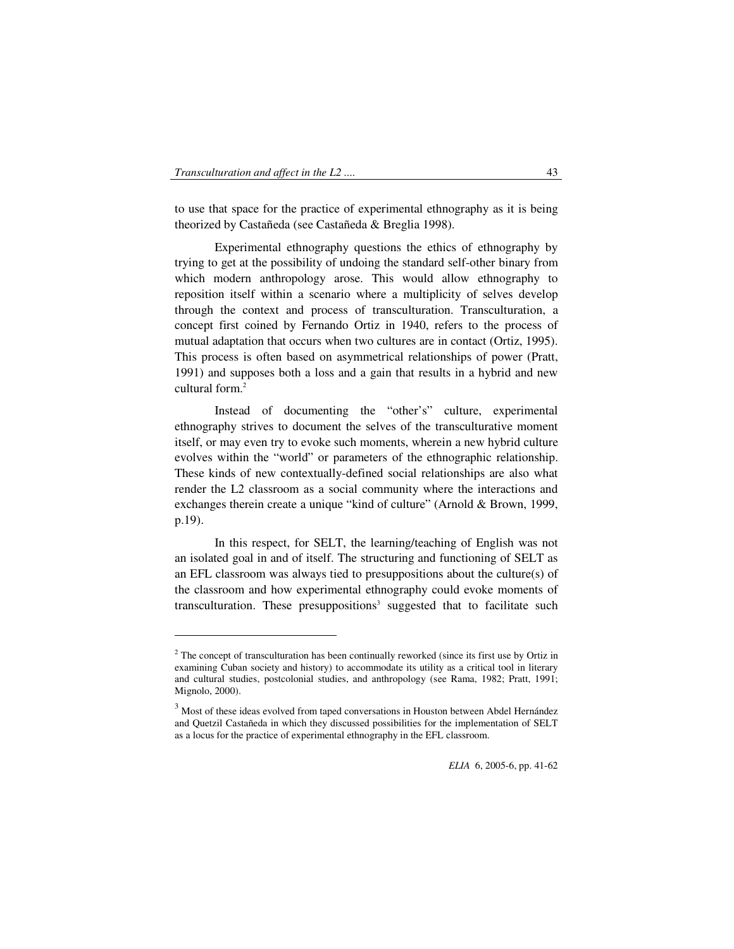$\ddot{ }$ 

to use that space for the practice of experimental ethnography as it is being theorized by Castañeda (see Castañeda & Breglia 1998).

Experimental ethnography questions the ethics of ethnography by trying to get at the possibility of undoing the standard self-other binary from which modern anthropology arose. This would allow ethnography to reposition itself within a scenario where a multiplicity of selves develop through the context and process of transculturation. Transculturation, a concept first coined by Fernando Ortiz in 1940, refers to the process of mutual adaptation that occurs when two cultures are in contact (Ortiz, 1995). This process is often based on asymmetrical relationships of power (Pratt, 1991) and supposes both a loss and a gain that results in a hybrid and new  $\text{cultural form}$ <sup>2</sup>

 Instead of documenting the "other's" culture, experimental ethnography strives to document the selves of the transculturative moment itself, or may even try to evoke such moments, wherein a new hybrid culture evolves within the "world" or parameters of the ethnographic relationship. These kinds of new contextually-defined social relationships are also what render the L2 classroom as a social community where the interactions and exchanges therein create a unique "kind of culture" (Arnold & Brown, 1999, p.19).

 In this respect, for SELT, the learning/teaching of English was not an isolated goal in and of itself. The structuring and functioning of SELT as an EFL classroom was always tied to presuppositions about the culture(s) of the classroom and how experimental ethnography could evoke moments of transculturation. These presuppositions<sup>3</sup> suggested that to facilitate such

 $2^2$  The concept of transculturation has been continually reworked (since its first use by Ortiz in examining Cuban society and history) to accommodate its utility as a critical tool in literary and cultural studies, postcolonial studies, and anthropology (see Rama, 1982; Pratt, 1991; Mignolo, 2000).

<sup>&</sup>lt;sup>3</sup> Most of these ideas evolved from taped conversations in Houston between Abdel Hernández and Quetzil Castañeda in which they discussed possibilities for the implementation of SELT as a locus for the practice of experimental ethnography in the EFL classroom.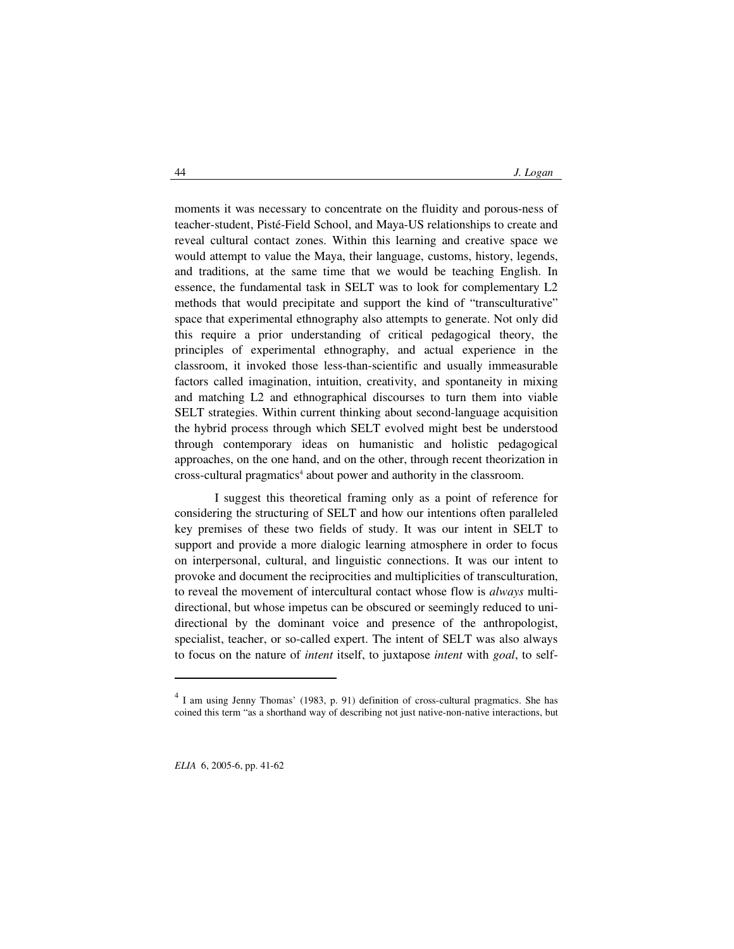moments it was necessary to concentrate on the fluidity and porous-ness of teacher-student, Pisté-Field School, and Maya-US relationships to create and reveal cultural contact zones. Within this learning and creative space we would attempt to value the Maya, their language, customs, history, legends, and traditions, at the same time that we would be teaching English. In essence, the fundamental task in SELT was to look for complementary L2 methods that would precipitate and support the kind of "transculturative" space that experimental ethnography also attempts to generate. Not only did this require a prior understanding of critical pedagogical theory, the principles of experimental ethnography, and actual experience in the classroom, it invoked those less-than-scientific and usually immeasurable factors called imagination, intuition, creativity, and spontaneity in mixing and matching L2 and ethnographical discourses to turn them into viable SELT strategies. Within current thinking about second-language acquisition the hybrid process through which SELT evolved might best be understood through contemporary ideas on humanistic and holistic pedagogical approaches, on the one hand, and on the other, through recent theorization in cross-cultural pragmatics<sup>4</sup> about power and authority in the classroom.

 I suggest this theoretical framing only as a point of reference for considering the structuring of SELT and how our intentions often paralleled key premises of these two fields of study. It was our intent in SELT to support and provide a more dialogic learning atmosphere in order to focus on interpersonal, cultural, and linguistic connections. It was our intent to provoke and document the reciprocities and multiplicities of transculturation, to reveal the movement of intercultural contact whose flow is *always* multidirectional, but whose impetus can be obscured or seemingly reduced to unidirectional by the dominant voice and presence of the anthropologist, specialist, teacher, or so-called expert. The intent of SELT was also always to focus on the nature of *intent* itself, to juxtapose *intent* with *goal*, to self-

<sup>4</sup> I am using Jenny Thomas' (1983, p. 91) definition of cross-cultural pragmatics. She has coined this term "as a shorthand way of describing not just native-non-native interactions, but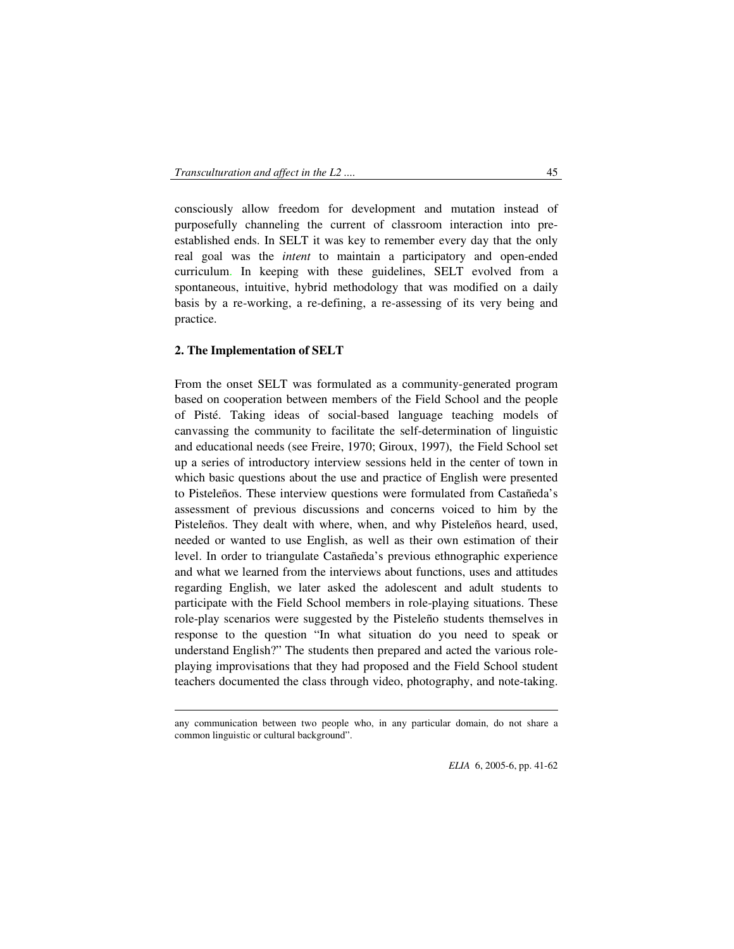consciously allow freedom for development and mutation instead of purposefully channeling the current of classroom interaction into preestablished ends. In SELT it was key to remember every day that the only real goal was the *intent* to maintain a participatory and open-ended curriculum. In keeping with these guidelines, SELT evolved from a spontaneous, intuitive, hybrid methodology that was modified on a daily basis by a re-working, a re-defining, a re-assessing of its very being and practice.

## **2. The Implementation of SELT**

-

From the onset SELT was formulated as a community-generated program based on cooperation between members of the Field School and the people of Pisté. Taking ideas of social-based language teaching models of canvassing the community to facilitate the self-determination of linguistic and educational needs (see Freire, 1970; Giroux, 1997), the Field School set up a series of introductory interview sessions held in the center of town in which basic questions about the use and practice of English were presented to Pisteleños. These interview questions were formulated from Castañeda's assessment of previous discussions and concerns voiced to him by the Pisteleños. They dealt with where, when, and why Pisteleños heard, used, needed or wanted to use English, as well as their own estimation of their level. In order to triangulate Castañeda's previous ethnographic experience and what we learned from the interviews about functions, uses and attitudes regarding English, we later asked the adolescent and adult students to participate with the Field School members in role-playing situations. These role-play scenarios were suggested by the Pisteleño students themselves in response to the question "In what situation do you need to speak or understand English?" The students then prepared and acted the various roleplaying improvisations that they had proposed and the Field School student teachers documented the class through video, photography, and note-taking.

any communication between two people who, in any particular domain, do not share a common linguistic or cultural background".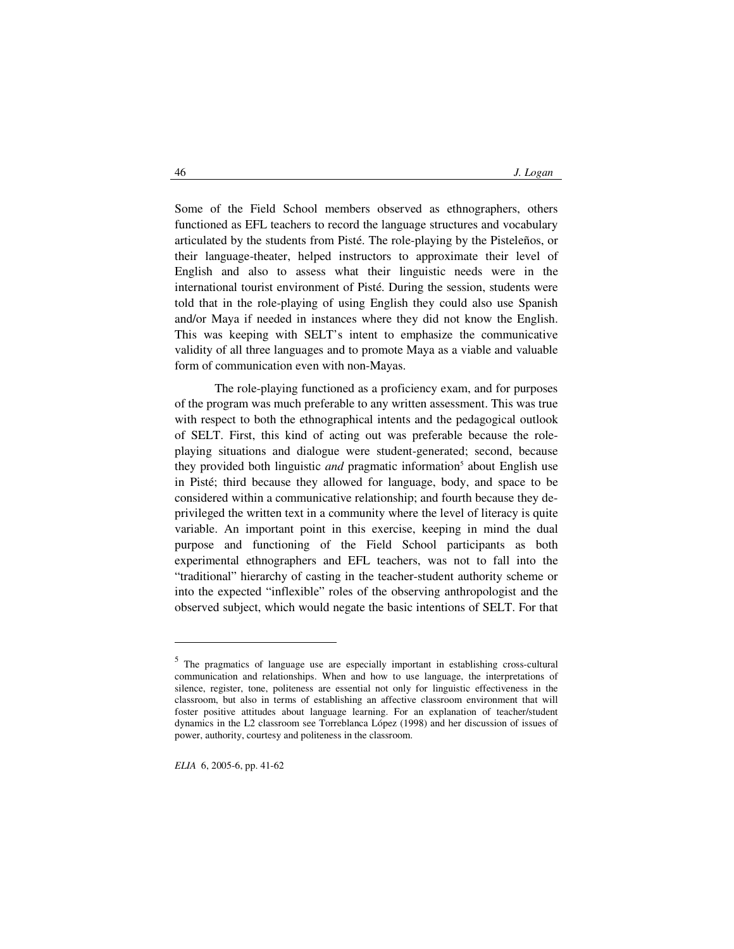Some of the Field School members observed as ethnographers, others functioned as EFL teachers to record the language structures and vocabulary articulated by the students from Pisté. The role-playing by the Pisteleños, or their language-theater, helped instructors to approximate their level of English and also to assess what their linguistic needs were in the international tourist environment of Pisté. During the session, students were told that in the role-playing of using English they could also use Spanish and/or Maya if needed in instances where they did not know the English. This was keeping with SELT's intent to emphasize the communicative validity of all three languages and to promote Maya as a viable and valuable form of communication even with non-Mayas.

 The role-playing functioned as a proficiency exam, and for purposes of the program was much preferable to any written assessment. This was true with respect to both the ethnographical intents and the pedagogical outlook of SELT. First, this kind of acting out was preferable because the roleplaying situations and dialogue were student-generated; second, because they provided both linguistic *and* pragmatic information<sup>5</sup> about English use in Pisté; third because they allowed for language, body, and space to be considered within a communicative relationship; and fourth because they deprivileged the written text in a community where the level of literacy is quite variable. An important point in this exercise, keeping in mind the dual purpose and functioning of the Field School participants as both experimental ethnographers and EFL teachers, was not to fall into the "traditional" hierarchy of casting in the teacher-student authority scheme or into the expected "inflexible" roles of the observing anthropologist and the observed subject, which would negate the basic intentions of SELT. For that

<sup>&</sup>lt;sup>5</sup> The pragmatics of language use are especially important in establishing cross-cultural communication and relationships. When and how to use language, the interpretations of silence, register, tone, politeness are essential not only for linguistic effectiveness in the classroom, but also in terms of establishing an affective classroom environment that will foster positive attitudes about language learning. For an explanation of teacher/student dynamics in the L2 classroom see Torreblanca López (1998) and her discussion of issues of power, authority, courtesy and politeness in the classroom.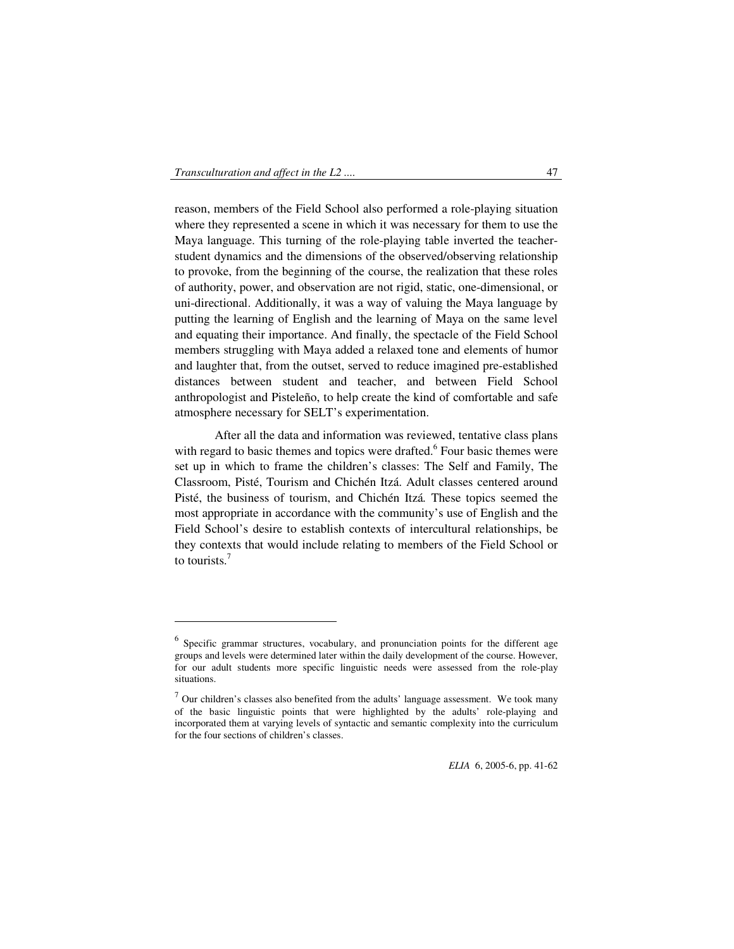-

reason, members of the Field School also performed a role-playing situation where they represented a scene in which it was necessary for them to use the Maya language. This turning of the role-playing table inverted the teacherstudent dynamics and the dimensions of the observed/observing relationship to provoke, from the beginning of the course, the realization that these roles of authority, power, and observation are not rigid, static, one-dimensional, or uni-directional. Additionally, it was a way of valuing the Maya language by putting the learning of English and the learning of Maya on the same level and equating their importance. And finally, the spectacle of the Field School members struggling with Maya added a relaxed tone and elements of humor and laughter that, from the outset, served to reduce imagined pre-established distances between student and teacher, and between Field School anthropologist and Pisteleño, to help create the kind of comfortable and safe atmosphere necessary for SELT's experimentation.

After all the data and information was reviewed, tentative class plans with regard to basic themes and topics were drafted.<sup>6</sup> Four basic themes were set up in which to frame the children's classes: The Self and Family, The Classroom, Pisté, Tourism and Chichén Itzá. Adult classes centered around Pisté, the business of tourism, and Chichén Itzá*.* These topics seemed the most appropriate in accordance with the community's use of English and the Field School's desire to establish contexts of intercultural relationships, be they contexts that would include relating to members of the Field School or to tourists  $<sup>7</sup>$ </sup>

<sup>&</sup>lt;sup>6</sup> Specific grammar structures, vocabulary, and pronunciation points for the different age groups and levels were determined later within the daily development of the course. However, for our adult students more specific linguistic needs were assessed from the role-play situations.

 $<sup>7</sup>$  Our children's classes also benefited from the adults' language assessment. We took many</sup> of the basic linguistic points that were highlighted by the adults' role-playing and incorporated them at varying levels of syntactic and semantic complexity into the curriculum for the four sections of children's classes.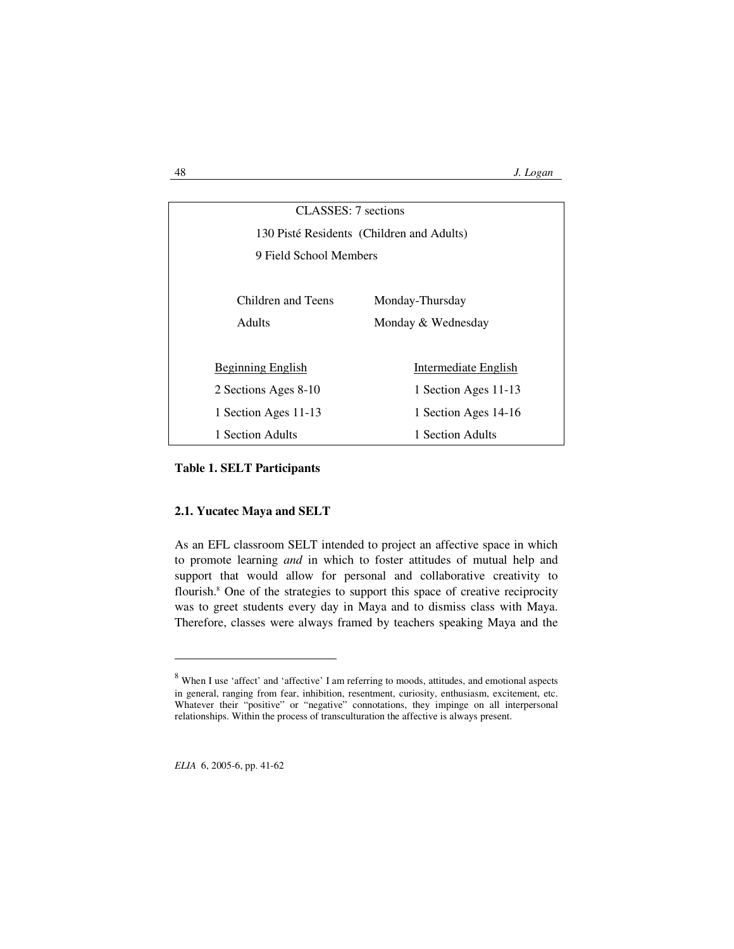| CLASSES: 7 sections                       |                      |
|-------------------------------------------|----------------------|
| 130 Pisté Residents (Children and Adults) |                      |
| 9 Field School Members                    |                      |
|                                           |                      |
| Children and Teens                        | Monday-Thursday      |
| <b>Adults</b>                             | Monday & Wednesday   |
|                                           |                      |
| <b>Beginning English</b>                  | Intermediate English |
| 2 Sections Ages 8-10                      | 1 Section Ages 11-13 |
| 1 Section Ages 11-13                      | 1 Section Ages 14-16 |
| 1 Section Adults                          | 1 Section Adults     |

#### **Table 1. SELT Participants**

### **2.1. Yucatec Maya and SELT**

As an EFL classroom SELT intended to project an affective space in which to promote learning *and* in which to foster attitudes of mutual help and support that would allow for personal and collaborative creativity to flourish.<sup>8</sup> One of the strategies to support this space of creative reciprocity was to greet students every day in Maya and to dismiss class with Maya. Therefore, classes were always framed by teachers speaking Maya and the

<sup>&</sup>lt;sup>8</sup> When I use 'affect' and 'affective' I am referring to moods, attitudes, and emotional aspects in general, ranging from fear, inhibition, resentment, curiosity, enthusiasm, excitement, etc. Whatever their "positive" or "negative" connotations, they impinge on all interpersonal relationships. Within the process of transculturation the affective is always present.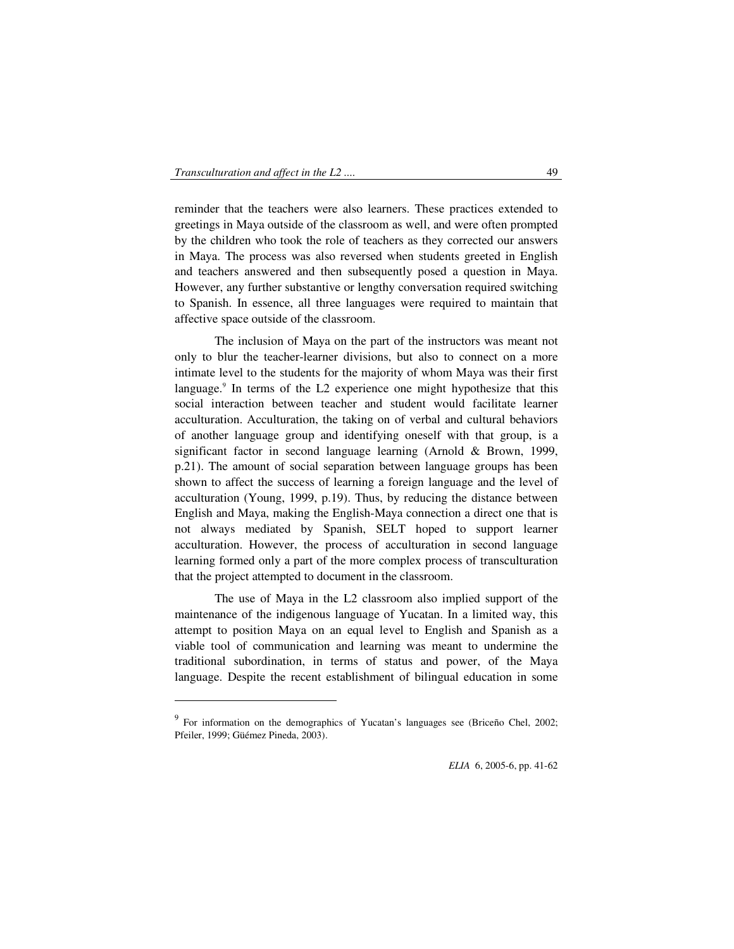$\ddot{ }$ 

reminder that the teachers were also learners. These practices extended to greetings in Maya outside of the classroom as well, and were often prompted by the children who took the role of teachers as they corrected our answers in Maya. The process was also reversed when students greeted in English and teachers answered and then subsequently posed a question in Maya. However, any further substantive or lengthy conversation required switching to Spanish. In essence, all three languages were required to maintain that affective space outside of the classroom.

 The inclusion of Maya on the part of the instructors was meant not only to blur the teacher-learner divisions, but also to connect on a more intimate level to the students for the majority of whom Maya was their first language.<sup>9</sup> In terms of the L2 experience one might hypothesize that this social interaction between teacher and student would facilitate learner acculturation. Acculturation, the taking on of verbal and cultural behaviors of another language group and identifying oneself with that group, is a significant factor in second language learning (Arnold & Brown, 1999, p.21). The amount of social separation between language groups has been shown to affect the success of learning a foreign language and the level of acculturation (Young, 1999, p.19). Thus, by reducing the distance between English and Maya, making the English-Maya connection a direct one that is not always mediated by Spanish, SELT hoped to support learner acculturation. However, the process of acculturation in second language learning formed only a part of the more complex process of transculturation that the project attempted to document in the classroom.

 The use of Maya in the L2 classroom also implied support of the maintenance of the indigenous language of Yucatan. In a limited way, this attempt to position Maya on an equal level to English and Spanish as a viable tool of communication and learning was meant to undermine the traditional subordination, in terms of status and power, of the Maya language. Despite the recent establishment of bilingual education in some

<sup>&</sup>lt;sup>9</sup> For information on the demographics of Yucatan's languages see (Briceño Chel, 2002; Pfeiler, 1999; Güémez Pineda, 2003).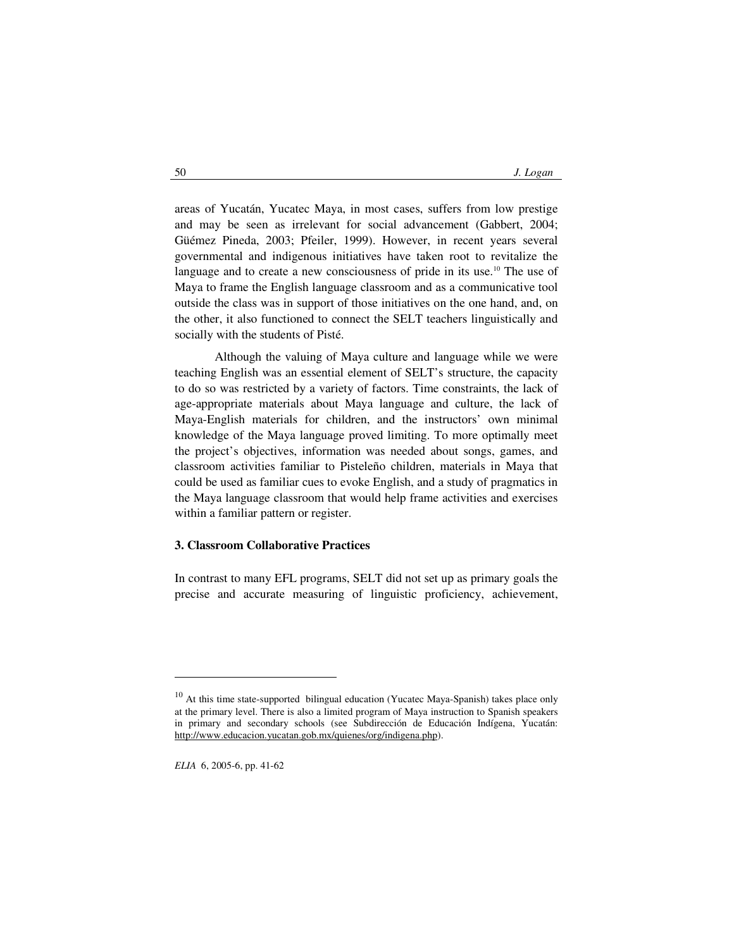areas of Yucatán, Yucatec Maya, in most cases, suffers from low prestige and may be seen as irrelevant for social advancement (Gabbert, 2004; Güémez Pineda, 2003; Pfeiler, 1999). However, in recent years several governmental and indigenous initiatives have taken root to revitalize the language and to create a new consciousness of pride in its use.<sup>10</sup> The use of Maya to frame the English language classroom and as a communicative tool outside the class was in support of those initiatives on the one hand, and, on the other, it also functioned to connect the SELT teachers linguistically and socially with the students of Pisté.

 Although the valuing of Maya culture and language while we were teaching English was an essential element of SELT's structure, the capacity to do so was restricted by a variety of factors. Time constraints, the lack of age-appropriate materials about Maya language and culture, the lack of Maya-English materials for children, and the instructors' own minimal knowledge of the Maya language proved limiting. To more optimally meet the project's objectives, information was needed about songs, games, and classroom activities familiar to Pisteleño children, materials in Maya that could be used as familiar cues to evoke English, and a study of pragmatics in the Maya language classroom that would help frame activities and exercises within a familiar pattern or register.

## **3. Classroom Collaborative Practices**

In contrast to many EFL programs, SELT did not set up as primary goals the precise and accurate measuring of linguistic proficiency, achievement,

<sup>&</sup>lt;sup>10</sup> At this time state-supported bilingual education (Yucatec Maya-Spanish) takes place only at the primary level. There is also a limited program of Maya instruction to Spanish speakers in primary and secondary schools (see Subdirección de Educación Indígena, Yucatán: http://www.educacion.yucatan.gob.mx/quienes/org/indigena.php).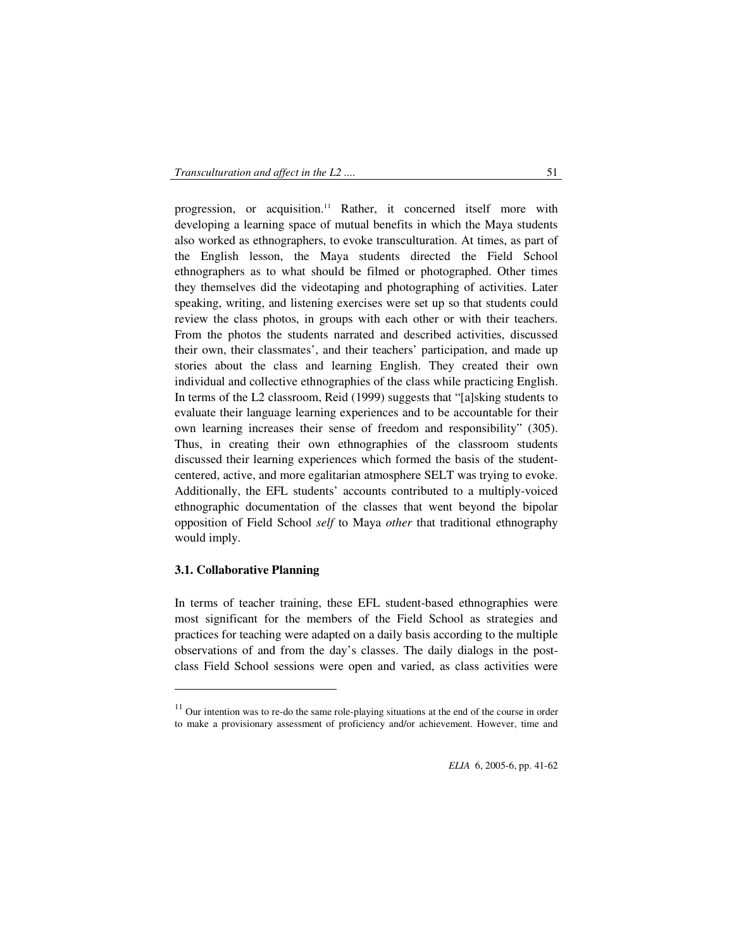progression, or acquisition.<sup>11</sup> Rather, it concerned itself more with developing a learning space of mutual benefits in which the Maya students also worked as ethnographers, to evoke transculturation. At times, as part of the English lesson, the Maya students directed the Field School ethnographers as to what should be filmed or photographed. Other times they themselves did the videotaping and photographing of activities. Later speaking, writing, and listening exercises were set up so that students could review the class photos, in groups with each other or with their teachers. From the photos the students narrated and described activities, discussed their own, their classmates', and their teachers' participation, and made up stories about the class and learning English. They created their own individual and collective ethnographies of the class while practicing English. In terms of the L2 classroom, Reid (1999) suggests that "[a]sking students to evaluate their language learning experiences and to be accountable for their own learning increases their sense of freedom and responsibility" (305). Thus, in creating their own ethnographies of the classroom students discussed their learning experiences which formed the basis of the studentcentered, active, and more egalitarian atmosphere SELT was trying to evoke. Additionally, the EFL students' accounts contributed to a multiply-voiced ethnographic documentation of the classes that went beyond the bipolar opposition of Field School *self* to Maya *other* that traditional ethnography would imply.

## **3.1. Collaborative Planning**

 $\ddot{ }$ 

In terms of teacher training, these EFL student-based ethnographies were most significant for the members of the Field School as strategies and practices for teaching were adapted on a daily basis according to the multiple observations of and from the day's classes. The daily dialogs in the postclass Field School sessions were open and varied, as class activities were

 $11$  Our intention was to re-do the same role-playing situations at the end of the course in order to make a provisionary assessment of proficiency and/or achievement. However, time and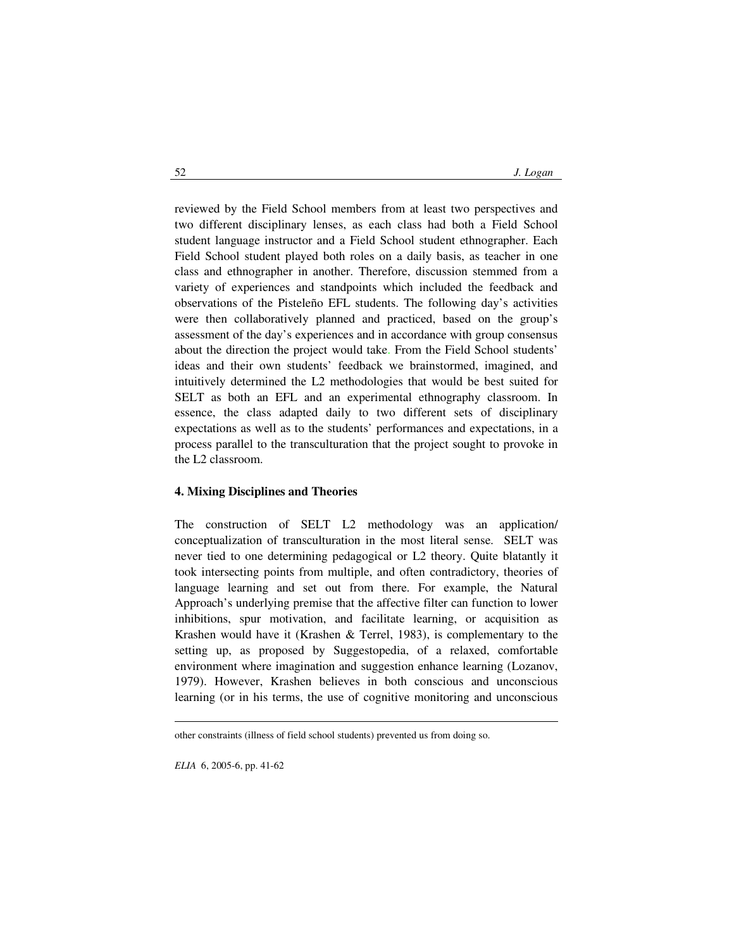reviewed by the Field School members from at least two perspectives and two different disciplinary lenses, as each class had both a Field School student language instructor and a Field School student ethnographer. Each Field School student played both roles on a daily basis, as teacher in one class and ethnographer in another. Therefore, discussion stemmed from a variety of experiences and standpoints which included the feedback and observations of the Pisteleño EFL students. The following day's activities were then collaboratively planned and practiced, based on the group's assessment of the day's experiences and in accordance with group consensus about the direction the project would take. From the Field School students' ideas and their own students' feedback we brainstormed, imagined, and intuitively determined the L2 methodologies that would be best suited for SELT as both an EFL and an experimental ethnography classroom. In essence, the class adapted daily to two different sets of disciplinary expectations as well as to the students' performances and expectations, in a process parallel to the transculturation that the project sought to provoke in the L2 classroom.

## **4. Mixing Disciplines and Theories**

The construction of SELT L2 methodology was an application/ conceptualization of transculturation in the most literal sense. SELT was never tied to one determining pedagogical or L2 theory. Quite blatantly it took intersecting points from multiple, and often contradictory, theories of language learning and set out from there. For example, the Natural Approach's underlying premise that the affective filter can function to lower inhibitions, spur motivation, and facilitate learning, or acquisition as Krashen would have it (Krashen & Terrel, 1983), is complementary to the setting up, as proposed by Suggestopedia, of a relaxed, comfortable environment where imagination and suggestion enhance learning (Lozanov, 1979). However, Krashen believes in both conscious and unconscious learning (or in his terms, the use of cognitive monitoring and unconscious

-

other constraints (illness of field school students) prevented us from doing so.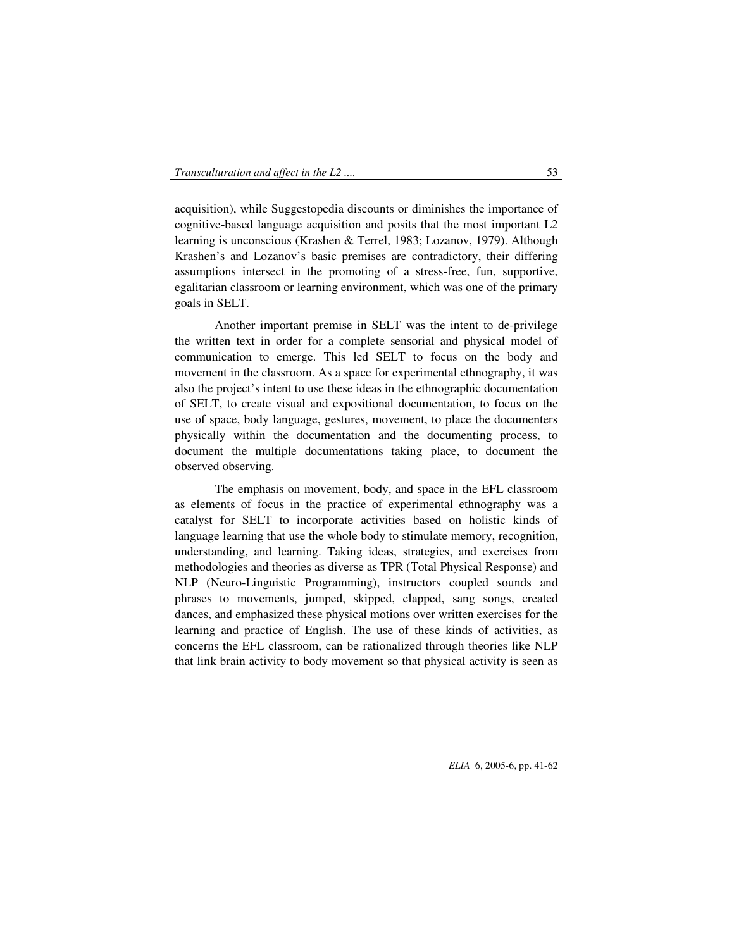acquisition), while Suggestopedia discounts or diminishes the importance of cognitive-based language acquisition and posits that the most important L2 learning is unconscious (Krashen & Terrel, 1983; Lozanov, 1979). Although Krashen's and Lozanov's basic premises are contradictory, their differing assumptions intersect in the promoting of a stress-free, fun, supportive, egalitarian classroom or learning environment, which was one of the primary goals in SELT.

 Another important premise in SELT was the intent to de-privilege the written text in order for a complete sensorial and physical model of communication to emerge. This led SELT to focus on the body and movement in the classroom. As a space for experimental ethnography, it was also the project's intent to use these ideas in the ethnographic documentation of SELT, to create visual and expositional documentation, to focus on the use of space, body language, gestures, movement, to place the documenters physically within the documentation and the documenting process, to document the multiple documentations taking place, to document the observed observing.

The emphasis on movement, body, and space in the EFL classroom as elements of focus in the practice of experimental ethnography was a catalyst for SELT to incorporate activities based on holistic kinds of language learning that use the whole body to stimulate memory, recognition, understanding, and learning. Taking ideas, strategies, and exercises from methodologies and theories as diverse as TPR (Total Physical Response) and NLP (Neuro-Linguistic Programming), instructors coupled sounds and phrases to movements, jumped, skipped, clapped, sang songs, created dances, and emphasized these physical motions over written exercises for the learning and practice of English. The use of these kinds of activities, as concerns the EFL classroom, can be rationalized through theories like NLP that link brain activity to body movement so that physical activity is seen as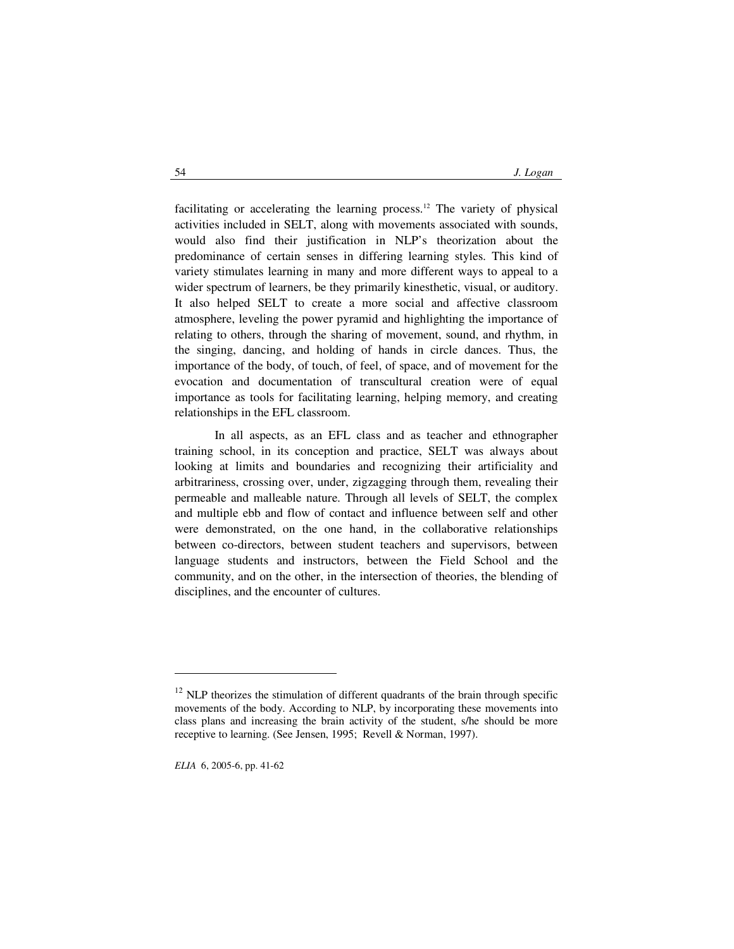facilitating or accelerating the learning process.<sup>12</sup> The variety of physical activities included in SELT, along with movements associated with sounds, would also find their justification in NLP's theorization about the predominance of certain senses in differing learning styles. This kind of variety stimulates learning in many and more different ways to appeal to a wider spectrum of learners, be they primarily kinesthetic, visual, or auditory. It also helped SELT to create a more social and affective classroom atmosphere, leveling the power pyramid and highlighting the importance of relating to others, through the sharing of movement, sound, and rhythm, in the singing, dancing, and holding of hands in circle dances. Thus, the importance of the body, of touch, of feel, of space, and of movement for the evocation and documentation of transcultural creation were of equal importance as tools for facilitating learning, helping memory, and creating relationships in the EFL classroom.

 In all aspects, as an EFL class and as teacher and ethnographer training school, in its conception and practice, SELT was always about looking at limits and boundaries and recognizing their artificiality and arbitrariness, crossing over, under, zigzagging through them, revealing their permeable and malleable nature. Through all levels of SELT, the complex and multiple ebb and flow of contact and influence between self and other were demonstrated, on the one hand, in the collaborative relationships between co-directors, between student teachers and supervisors, between language students and instructors, between the Field School and the community, and on the other, in the intersection of theories, the blending of disciplines, and the encounter of cultures.

 $12$  NLP theorizes the stimulation of different quadrants of the brain through specific movements of the body. According to NLP, by incorporating these movements into class plans and increasing the brain activity of the student, s/he should be more receptive to learning. (See Jensen, 1995; Revell & Norman, 1997).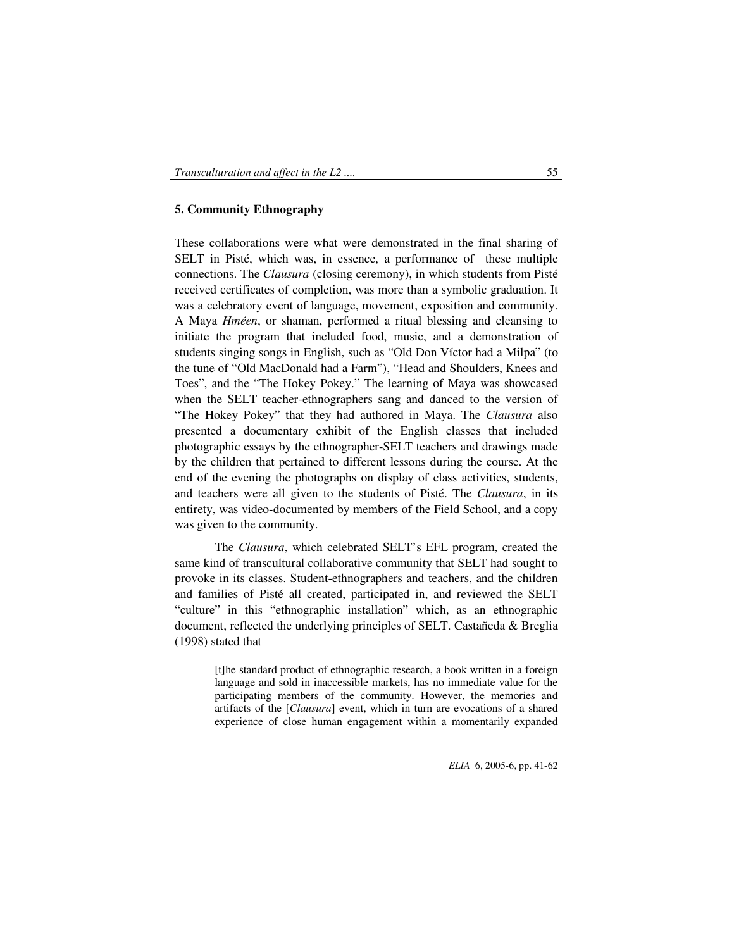## **5. Community Ethnography**

These collaborations were what were demonstrated in the final sharing of SELT in Pisté, which was, in essence, a performance of these multiple connections. The *Clausura* (closing ceremony), in which students from Pisté received certificates of completion, was more than a symbolic graduation. It was a celebratory event of language, movement, exposition and community. A Maya *Hméen*, or shaman, performed a ritual blessing and cleansing to initiate the program that included food, music, and a demonstration of students singing songs in English, such as "Old Don Víctor had a Milpa" (to the tune of "Old MacDonald had a Farm"), "Head and Shoulders, Knees and Toes", and the "The Hokey Pokey." The learning of Maya was showcased when the SELT teacher-ethnographers sang and danced to the version of "The Hokey Pokey" that they had authored in Maya. The *Clausura* also presented a documentary exhibit of the English classes that included photographic essays by the ethnographer-SELT teachers and drawings made by the children that pertained to different lessons during the course. At the end of the evening the photographs on display of class activities, students, and teachers were all given to the students of Pisté. The *Clausura*, in its entirety, was video-documented by members of the Field School, and a copy was given to the community.

 The *Clausura*, which celebrated SELT's EFL program, created the same kind of transcultural collaborative community that SELT had sought to provoke in its classes. Student-ethnographers and teachers, and the children and families of Pisté all created, participated in, and reviewed the SELT "culture" in this "ethnographic installation" which, as an ethnographic document, reflected the underlying principles of SELT. Castañeda & Breglia (1998) stated that

> [t]he standard product of ethnographic research, a book written in a foreign language and sold in inaccessible markets, has no immediate value for the participating members of the community. However, the memories and artifacts of the [*Clausura*] event, which in turn are evocations of a shared experience of close human engagement within a momentarily expanded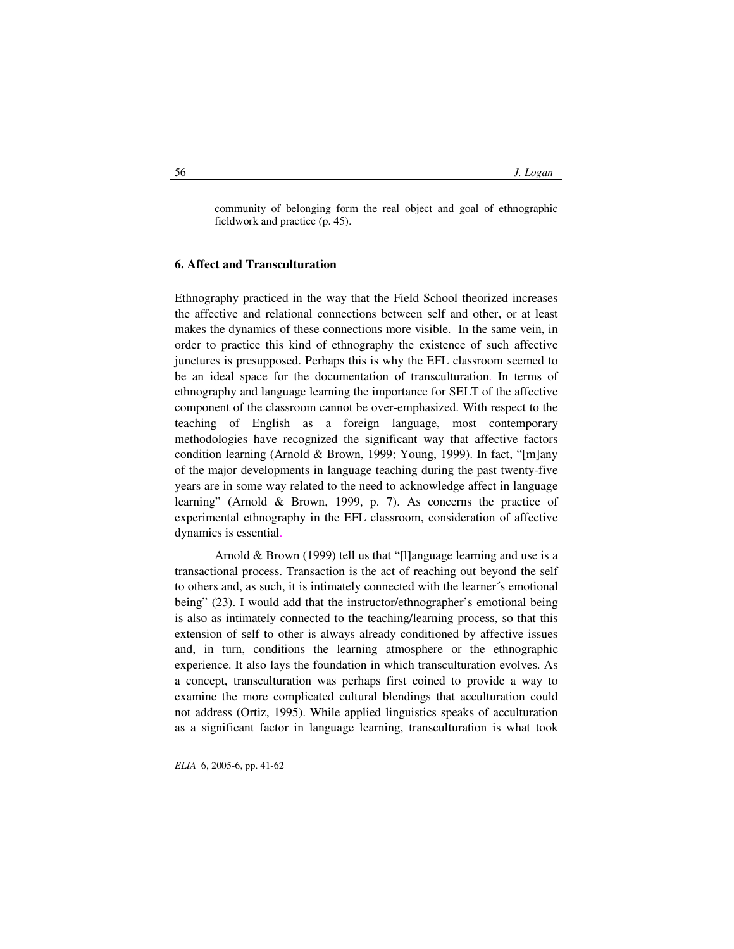community of belonging form the real object and goal of ethnographic fieldwork and practice (p. 45).

#### **6. Affect and Transculturation**

Ethnography practiced in the way that the Field School theorized increases the affective and relational connections between self and other, or at least makes the dynamics of these connections more visible. In the same vein, in order to practice this kind of ethnography the existence of such affective junctures is presupposed. Perhaps this is why the EFL classroom seemed to be an ideal space for the documentation of transculturation. In terms of ethnography and language learning the importance for SELT of the affective component of the classroom cannot be over-emphasized. With respect to the teaching of English as a foreign language, most contemporary methodologies have recognized the significant way that affective factors condition learning (Arnold & Brown, 1999; Young, 1999). In fact, "[m]any of the major developments in language teaching during the past twenty-five years are in some way related to the need to acknowledge affect in language learning" (Arnold & Brown, 1999, p. 7). As concerns the practice of experimental ethnography in the EFL classroom, consideration of affective dynamics is essential.

Arnold & Brown (1999) tell us that "[l]anguage learning and use is a transactional process. Transaction is the act of reaching out beyond the self to others and, as such, it is intimately connected with the learner´s emotional being" (23). I would add that the instructor/ethnographer's emotional being is also as intimately connected to the teaching/learning process, so that this extension of self to other is always already conditioned by affective issues and, in turn, conditions the learning atmosphere or the ethnographic experience. It also lays the foundation in which transculturation evolves. As a concept, transculturation was perhaps first coined to provide a way to examine the more complicated cultural blendings that acculturation could not address (Ortiz, 1995). While applied linguistics speaks of acculturation as a significant factor in language learning, transculturation is what took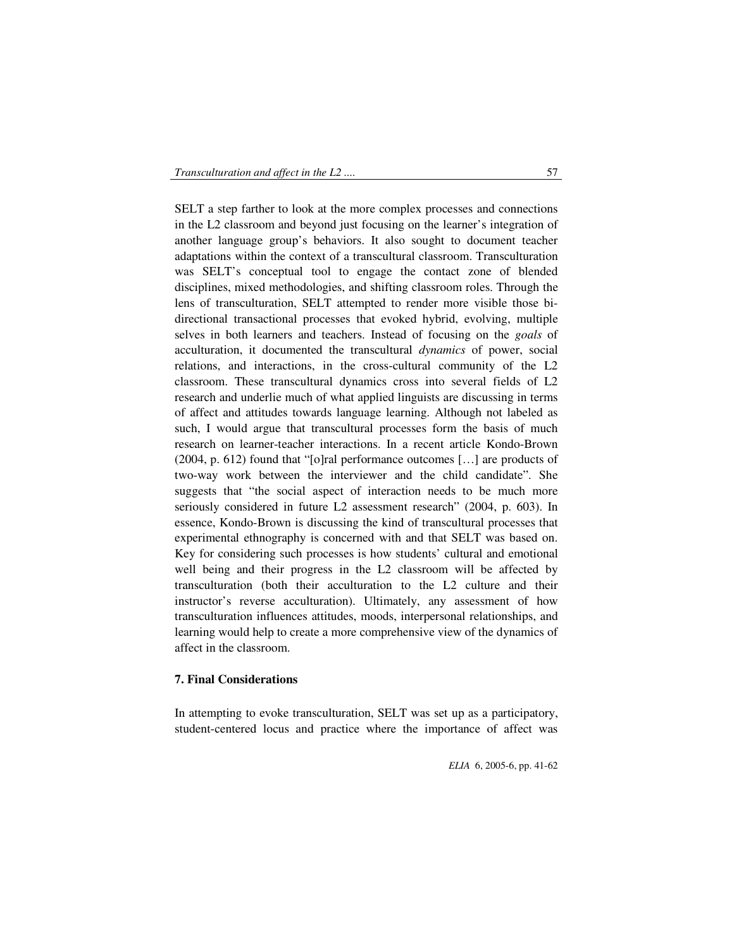SELT a step farther to look at the more complex processes and connections in the L2 classroom and beyond just focusing on the learner's integration of another language group's behaviors. It also sought to document teacher adaptations within the context of a transcultural classroom. Transculturation was SELT's conceptual tool to engage the contact zone of blended disciplines, mixed methodologies, and shifting classroom roles. Through the lens of transculturation, SELT attempted to render more visible those bidirectional transactional processes that evoked hybrid, evolving, multiple selves in both learners and teachers. Instead of focusing on the *goals* of acculturation, it documented the transcultural *dynamics* of power, social relations, and interactions, in the cross-cultural community of the L2 classroom. These transcultural dynamics cross into several fields of L2 research and underlie much of what applied linguists are discussing in terms of affect and attitudes towards language learning. Although not labeled as such, I would argue that transcultural processes form the basis of much research on learner-teacher interactions. In a recent article Kondo-Brown (2004, p. 612) found that "[o]ral performance outcomes […] are products of two-way work between the interviewer and the child candidate". She suggests that "the social aspect of interaction needs to be much more seriously considered in future L2 assessment research" (2004, p. 603). In essence, Kondo-Brown is discussing the kind of transcultural processes that experimental ethnography is concerned with and that SELT was based on. Key for considering such processes is how students' cultural and emotional well being and their progress in the L2 classroom will be affected by transculturation (both their acculturation to the L2 culture and their instructor's reverse acculturation). Ultimately, any assessment of how transculturation influences attitudes, moods, interpersonal relationships, and learning would help to create a more comprehensive view of the dynamics of affect in the classroom.

### **7. Final Considerations**

In attempting to evoke transculturation, SELT was set up as a participatory, student-centered locus and practice where the importance of affect was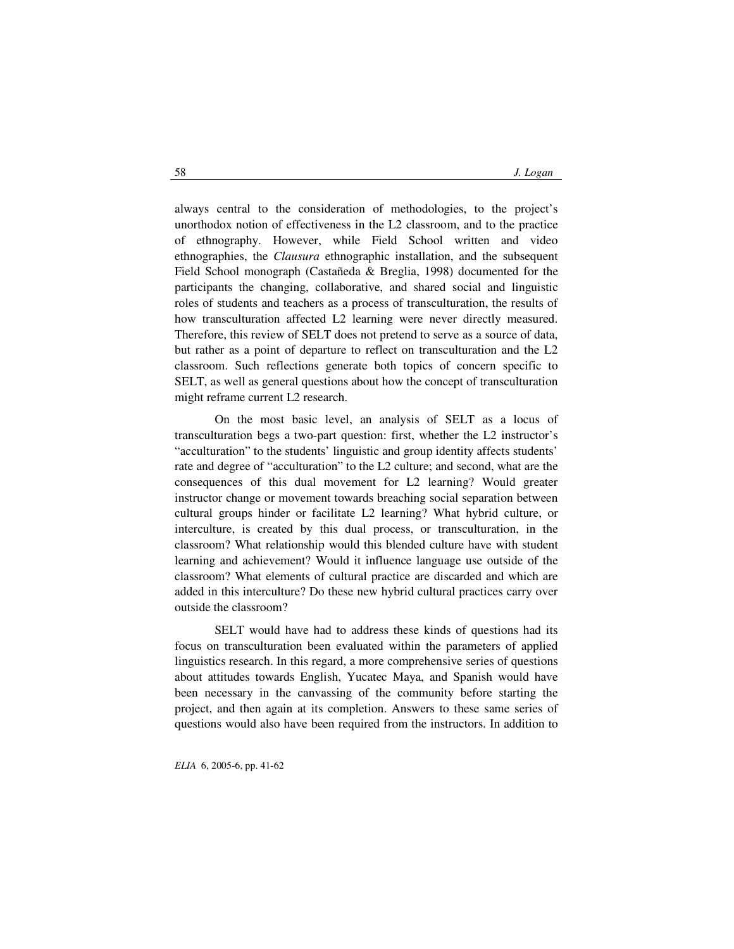always central to the consideration of methodologies, to the project's unorthodox notion of effectiveness in the L2 classroom, and to the practice of ethnography. However, while Field School written and video ethnographies, the *Clausura* ethnographic installation, and the subsequent Field School monograph (Castañeda & Breglia, 1998) documented for the participants the changing, collaborative, and shared social and linguistic roles of students and teachers as a process of transculturation, the results of how transculturation affected L2 learning were never directly measured. Therefore, this review of SELT does not pretend to serve as a source of data, but rather as a point of departure to reflect on transculturation and the L2 classroom. Such reflections generate both topics of concern specific to SELT, as well as general questions about how the concept of transculturation might reframe current L2 research.

On the most basic level, an analysis of SELT as a locus of transculturation begs a two-part question: first, whether the L2 instructor's "acculturation" to the students' linguistic and group identity affects students' rate and degree of "acculturation" to the L2 culture; and second, what are the consequences of this dual movement for L2 learning? Would greater instructor change or movement towards breaching social separation between cultural groups hinder or facilitate L2 learning? What hybrid culture, or interculture, is created by this dual process, or transculturation, in the classroom? What relationship would this blended culture have with student learning and achievement? Would it influence language use outside of the classroom? What elements of cultural practice are discarded and which are added in this interculture? Do these new hybrid cultural practices carry over outside the classroom?

SELT would have had to address these kinds of questions had its focus on transculturation been evaluated within the parameters of applied linguistics research. In this regard, a more comprehensive series of questions about attitudes towards English, Yucatec Maya, and Spanish would have been necessary in the canvassing of the community before starting the project, and then again at its completion. Answers to these same series of questions would also have been required from the instructors. In addition to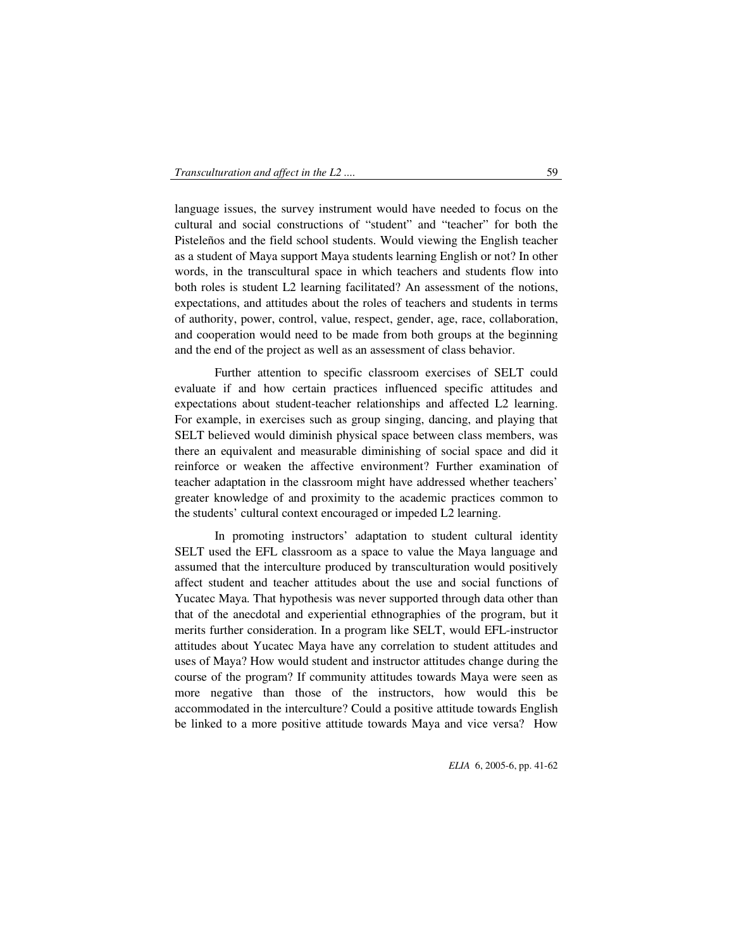language issues, the survey instrument would have needed to focus on the cultural and social constructions of "student" and "teacher" for both the Pisteleños and the field school students. Would viewing the English teacher as a student of Maya support Maya students learning English or not? In other words, in the transcultural space in which teachers and students flow into both roles is student L2 learning facilitated? An assessment of the notions, expectations, and attitudes about the roles of teachers and students in terms of authority, power, control, value, respect, gender, age, race, collaboration, and cooperation would need to be made from both groups at the beginning and the end of the project as well as an assessment of class behavior.

Further attention to specific classroom exercises of SELT could evaluate if and how certain practices influenced specific attitudes and expectations about student-teacher relationships and affected L2 learning. For example, in exercises such as group singing, dancing, and playing that SELT believed would diminish physical space between class members, was there an equivalent and measurable diminishing of social space and did it reinforce or weaken the affective environment? Further examination of teacher adaptation in the classroom might have addressed whether teachers' greater knowledge of and proximity to the academic practices common to the students' cultural context encouraged or impeded L2 learning.

In promoting instructors' adaptation to student cultural identity SELT used the EFL classroom as a space to value the Maya language and assumed that the interculture produced by transculturation would positively affect student and teacher attitudes about the use and social functions of Yucatec Maya. That hypothesis was never supported through data other than that of the anecdotal and experiential ethnographies of the program, but it merits further consideration. In a program like SELT, would EFL-instructor attitudes about Yucatec Maya have any correlation to student attitudes and uses of Maya? How would student and instructor attitudes change during the course of the program? If community attitudes towards Maya were seen as more negative than those of the instructors, how would this be accommodated in the interculture? Could a positive attitude towards English be linked to a more positive attitude towards Maya and vice versa? How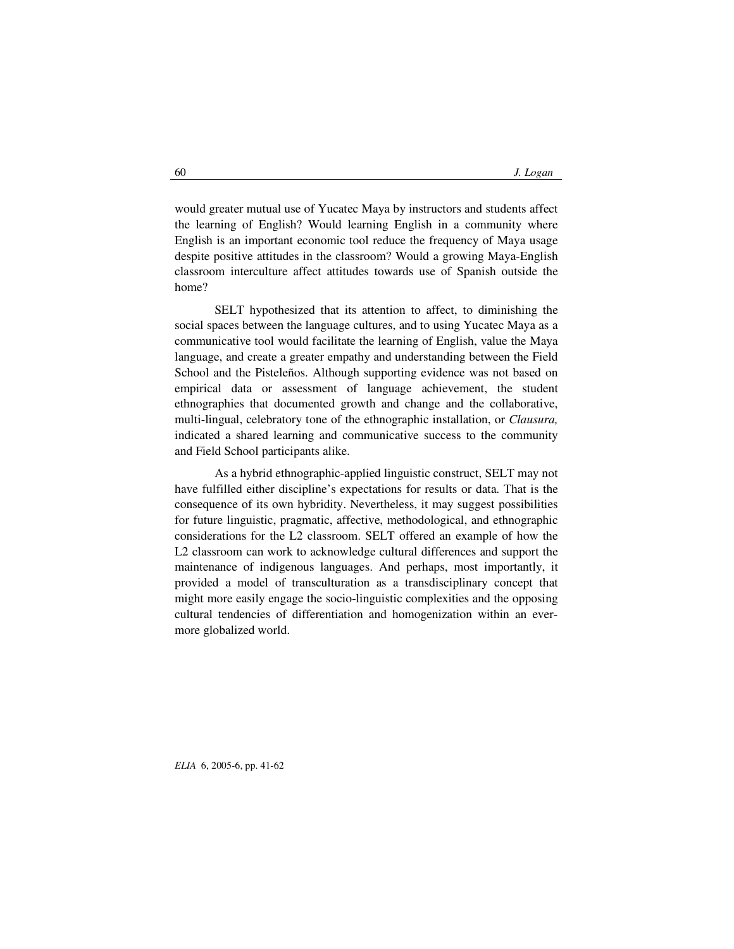would greater mutual use of Yucatec Maya by instructors and students affect the learning of English? Would learning English in a community where English is an important economic tool reduce the frequency of Maya usage despite positive attitudes in the classroom? Would a growing Maya-English classroom interculture affect attitudes towards use of Spanish outside the home?

SELT hypothesized that its attention to affect, to diminishing the social spaces between the language cultures, and to using Yucatec Maya as a communicative tool would facilitate the learning of English, value the Maya language, and create a greater empathy and understanding between the Field School and the Pisteleños. Although supporting evidence was not based on empirical data or assessment of language achievement, the student ethnographies that documented growth and change and the collaborative, multi-lingual, celebratory tone of the ethnographic installation, or *Clausura,*  indicated a shared learning and communicative success to the community and Field School participants alike.

As a hybrid ethnographic-applied linguistic construct, SELT may not have fulfilled either discipline's expectations for results or data. That is the consequence of its own hybridity. Nevertheless, it may suggest possibilities for future linguistic, pragmatic, affective, methodological, and ethnographic considerations for the L2 classroom. SELT offered an example of how the L2 classroom can work to acknowledge cultural differences and support the maintenance of indigenous languages. And perhaps, most importantly, it provided a model of transculturation as a transdisciplinary concept that might more easily engage the socio-linguistic complexities and the opposing cultural tendencies of differentiation and homogenization within an evermore globalized world.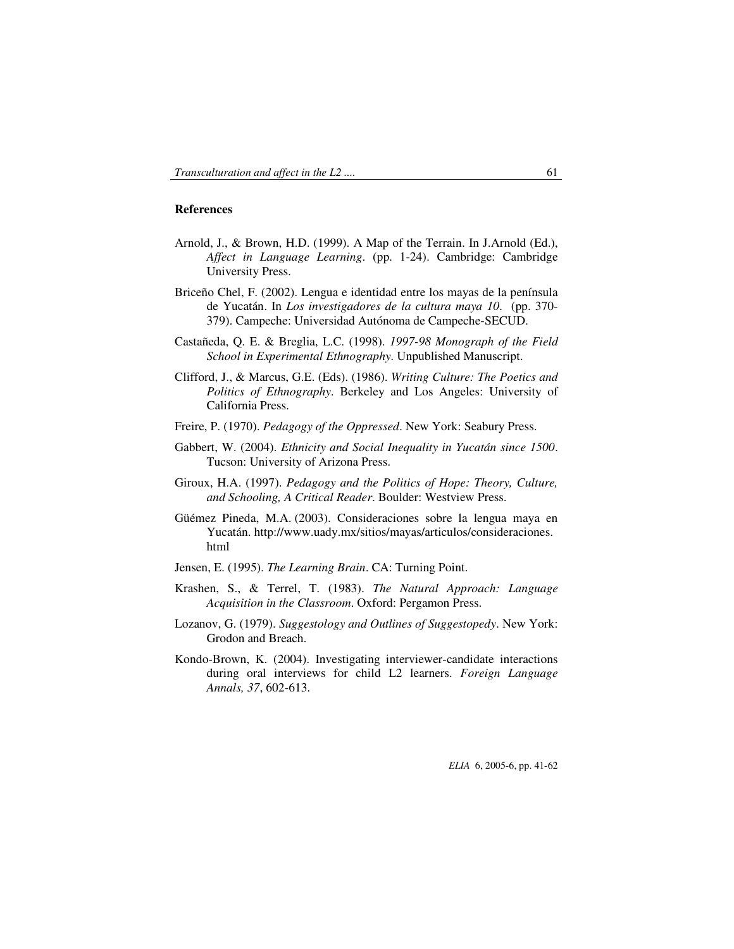## **References**

- Arnold, J., & Brown, H.D. (1999). A Map of the Terrain. In J.Arnold (Ed.), *Affect in Language Learning*. (pp. 1-24). Cambridge: Cambridge University Press.
- Briceño Chel, F. (2002). Lengua e identidad entre los mayas de la península de Yucatán. In *Los investigadores de la cultura maya 10*. (pp. 370- 379). Campeche: Universidad Autónoma de Campeche-SECUD.
- Castañeda, Q. E. & Breglia, L.C. (1998). *1997-98 Monograph of the Field School in Experimental Ethnography*. Unpublished Manuscript.
- Clifford, J., & Marcus, G.E. (Eds). (1986). *Writing Culture: The Poetics and Politics of Ethnography*. Berkeley and Los Angeles: University of California Press.
- Freire, P. (1970). *Pedagogy of the Oppressed*. New York: Seabury Press.
- Gabbert, W. (2004). *Ethnicity and Social Inequality in Yucatán since 1500*. Tucson: University of Arizona Press.
- Giroux, H.A. (1997). *Pedagogy and the Politics of Hope: Theory, Culture, and Schooling, A Critical Reader*. Boulder: Westview Press.
- Güémez Pineda, M.A. (2003). Consideraciones sobre la lengua maya en Yucatán. http://www.uady.mx/sitios/mayas/articulos/consideraciones. html
- Jensen, E. (1995). *The Learning Brain*. CA: Turning Point.
- Krashen, S., & Terrel, T. (1983). *The Natural Approach: Language Acquisition in the Classroom*. Oxford: Pergamon Press.
- Lozanov, G. (1979). *Suggestology and Outlines of Suggestopedy*. New York: Grodon and Breach.
- Kondo-Brown, K. (2004). Investigating interviewer-candidate interactions during oral interviews for child L2 learners. *Foreign Language Annals, 37*, 602-613.